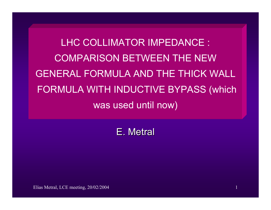LHC COLLIMATOR IMPEDANCE : COMPARISON BETWEEN THE NEW GENERAL FORMULA AND THE THICK WALLFORMULA WITH INDUCTIVE BYPASS (which was used until now)

E. Metral

Elias Metral, LCE meeting, 20/02/2004 1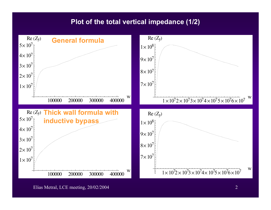## **Plot of the total vertical impedance (1/2)**



Elias Metral, LCE meeting, 20/02/2004 2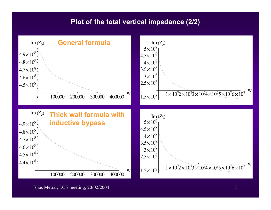## **Plot of the total vertical impedance (2/2)**



Elias Metral, LCE meeting, 20/02/2004 3